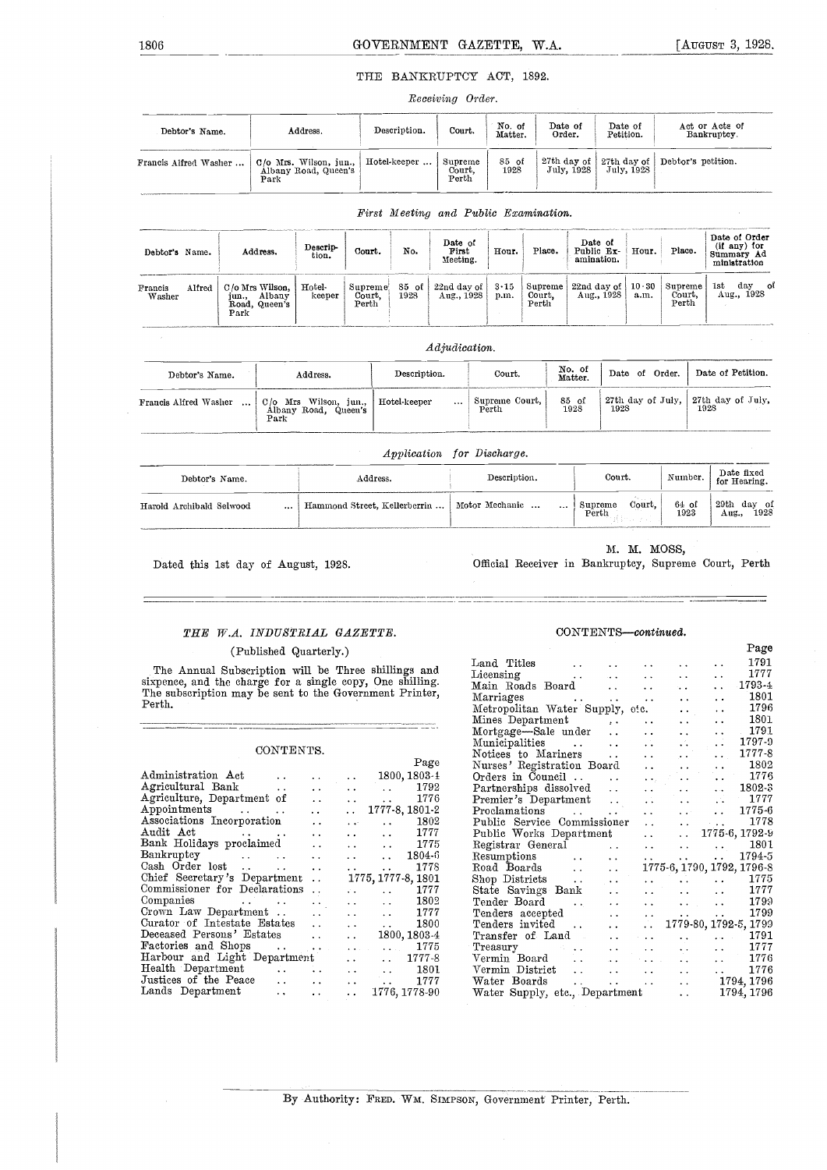#### THE BANKRUPTCY ACT, 1892.

Receiving Order.

| Debtor's Name.        | Address.                                                    | Description. | Court.                     | No. of<br>Matter. | Date of<br>Order. | Date of<br>Petition. | Act or Acts of<br>Bankruptcy.                                           |
|-----------------------|-------------------------------------------------------------|--------------|----------------------------|-------------------|-------------------|----------------------|-------------------------------------------------------------------------|
| Francis Alfred Washer | $\vert$ C/o Mrs. Wilson, jun., Hotel-keeper $\vert$<br>Park |              | Supreme<br>Court,<br>Perth | 85 of<br>1928     |                   |                      | 27th day of $ $ 27th day of Debtor's petition.<br>July, 1928 July, 1928 |

| Debtor's Name.    |        | Address.                                                       | Descrip-<br>tion. | Court.                                | No.             | Date of<br>First<br>Meeting. | Hour.                | Place.                     | Date of<br>Public Ex-<br>amination. | Hour. | Place.                     | Date of Order<br>(if any) for<br>Summary Ad<br>ministration |
|-------------------|--------|----------------------------------------------------------------|-------------------|---------------------------------------|-----------------|------------------------------|----------------------|----------------------------|-------------------------------------|-------|----------------------------|-------------------------------------------------------------|
| Francis<br>Washer | Alfred | C/o Mrs Wilson,<br>Albany<br>jun.,<br>Road.<br>Queen's<br>Park | Hotel-<br>keeper  | Supreme!<br>Court,<br>$_{\rm{Perth}}$ | $85$ of<br>1928 | 22nd day of 1<br>Aug., 1928  | $3 \cdot 15$<br>p.m. | Supreme<br>Court.<br>Perth | 22nd day of $ 10.30 $<br>Aug., 1928 | a.m.  | Supreme<br>Court,<br>Perth | 1st<br>st day<br>Aug., 1928<br>ot                           |

First Meeting and Public Examination.

## jun., Albany keepe<br>Road, Queen's Park<br>Park Adjudication. Debtor's Name. Address. Description. Court. No. of Da No. of  $\parallel$  Date of Order. Date of Petition.

| лерьог в глане.                   | Address.                                                            | mosetth atom.    | vvu.v.                  | Matter.          | ----<br>.<br>vww.         | $1.0000001 + 0.0000101$   |
|-----------------------------------|---------------------------------------------------------------------|------------------|-------------------------|------------------|---------------------------|---------------------------|
| Francis Alfred Washer<br>$\cdots$ | Wilson.<br>Mrs<br>C/2<br>iun.,<br>Albany<br>Road<br>Queen's<br>Park | Hotel-keeper<br> | Supreme Court,<br>Perth | 85<br>оf<br>1928 | 27th day of July.<br>1928 | 27th day of July,<br>1928 |

Application for Discharge.

| Debtor's Name.               | $_{\rm Address.}$                              | Description. | Court.                                   | Number.       | Date fixed<br>for Hearing. |
|------------------------------|------------------------------------------------|--------------|------------------------------------------|---------------|----------------------------|
| Harold Archibald Selwood<br> | Hammond Street, Kellerberrin    Motor Mechanic |              | Orașul I<br>Court,<br>Supreme<br>  Perth | 64 of<br>1923 | 29th day of<br>Aug., 1928  |

Dated this 1st day of August, 1928.

M. M. MOSS,

Official Receiver in Bankruptcy, Supreme Court, Perth

### THE W.A. INDUSTRIAL GAZETTE.

#### (Published Quarterly.)

| 1802<br>Nurses' Registration Board<br>$\sim 10$<br>$\sim$ $\sim$                                                                                                                                         |
|----------------------------------------------------------------------------------------------------------------------------------------------------------------------------------------------------------|
| $-1776$<br>Orders in Council<br>$\sim 100$ km s $^{-1}$<br>and the same<br>$\cdots$                                                                                                                      |
| 1802-3<br>Partnerships dissolved<br>$\sim$ $\sim$<br>$\sim 10^{-10}$<br>$\sim 10^{-1}$                                                                                                                   |
| $-1777$<br>Premier's Department                                                                                                                                                                          |
| 1775-6<br>Proclamations<br><b>Allen College</b><br>$\ddotsc$                                                                                                                                             |
| -- 1778<br>Public Service Commissioner<br>$\sim$ $\sim$<br>$\mathbf{u}^{\prime}$ , $\mathbf{u}^{\prime}$ , $\mathbf{u}^{\prime}$ , $\mathbf{u}^{\prime}$ , $\mathbf{u}^{\prime}$ , $\mathbf{u}^{\prime}$ |
| Public Works Department<br>$\ldots$ 1775-6, 1792-9<br>$\Delta\sim 10^{-10}$ m $^{-1}$                                                                                                                    |
| Registrar General<br>1801<br><b>Contract Contract</b><br>$\sim 10^{-1}$<br>$\sim 10^{-1}$<br>$\sim 10^{-10}$                                                                                             |
| 1794-5<br>Resumptions<br><b>Section</b><br><b>Service Control</b><br>$\sim 100$<br><b>Service</b>                                                                                                        |
| 1775-6, 1790, 1792, 1796-8<br>Road Boards<br>$\mathbf{r}$ , $\mathbf{r}$ , $\mathbf{r}$                                                                                                                  |
| Shop Districts<br>1775<br>$\sim$ 100 $\mu$ m $^{-1}$<br>$\sim 100$ km s $^{-1}$<br>$\ddot{\phantom{a}}$<br>$\sim$ $\sim$                                                                                 |
| 1777<br>State Savings Bank<br><b>Service</b> Contractor<br><b>Service</b> State                                                                                                                          |
| 1799<br>Tender Board<br>$\sim 100$ km s $^{-1}$<br><b>Contract Contract</b><br>$\ddot{\phantom{0}}$<br><b>Allen Control</b>                                                                              |
| 1799<br>Tenders accepted<br><b>Carlo Control</b><br>$\ddotsc$<br><b>Service</b>                                                                                                                          |
| Tenders invited<br>1779-80, 1792-5, 1799<br>$\sim 10^{-11}$                                                                                                                                              |
| Transfer of Land<br>1791<br><b>Carlos</b><br>$\sim 10$<br><b>Allen Control</b>                                                                                                                           |
| 1777<br>$T$ reasury<br>$\sim$ $\sim$<br><b>Service Controllers</b><br><b>Contractor</b><br>$\sim 100$ km s $^{-1}$<br><b>Service</b>                                                                     |
| 1776<br>Vermin Board<br>$\sim 100$<br>of the company of<br>$\sim 10^{-1}$                                                                                                                                |
| 1776<br>Vermin District<br>$\sim 10^{-11}$<br>$\ddotsc$                                                                                                                                                  |
| Water Boards<br>1794, 1796<br>$\ddot{\phantom{a}}$<br>and the state of the state of the state of the state of the state of the state of the state of the state of the                                    |
| Water Supply, etc., Department<br>1794, 1796<br>$\mathbf{A}$ , and $\mathbf{A}$                                                                                                                          |
|                                                                                                                                                                                                          |

#### CONTENTS-continued.

| Land Titles<br>$\ddot{\phantom{a}}$<br>$\ddot{\phantom{0}}$<br>$\ddot{\phantom{1}}$<br>$\ddot{\phantom{1}}$<br>The Annual Subscription will be Three shillings and<br>Licensing<br>$\ddot{\phantom{0}}$<br>$\ddotsc$<br>$\ddot{\phantom{a}}$<br>$\bullet$<br>Main Roads Board<br>$\sim$ $\sim$<br>$\ddot{\phantom{0}}$<br>$\ddotsc$<br>Marriages<br>$\ddot{\phantom{0}}$<br>$\ddot{\phantom{0}}$<br>$\ddot{\phantom{0}}$<br>$\ddot{\phantom{1}}$<br>$\cdots$<br>Metropolitan Water Supply, etc.<br>$\ddot{\phantom{0}}$<br>$\ddot{\phantom{0}}$<br>Mines Department<br>$\ddot{\phantom{0}}$<br>$\ddot{\phantom{1}}$<br>$\ddot{\phantom{1}}$<br>Mortgage-Sale under<br>$\ddot{\phantom{a}}$<br>$\ddot{\phantom{0}}$<br>Municipalities<br>$\ddot{\phantom{a}}$<br>$\ddot{\phantom{1}}$<br>$\bullet$ . $\bullet$<br>$\ddot{\phantom{1}}$<br>CONTENTS.<br>Notices to Mariners<br>$\ddot{\phantom{a}}$<br>$\sim$ $\sim$ .<br>Page<br>Nurses' Registration Board<br>$\ddot{\phantom{0}}$<br>1800, 1803-1<br>Orders in Council<br>$\ddot{\phantom{0}}$<br>$\ddot{\phantom{1}}$<br>$\bullet$ . $\bullet$<br>$\ddot{\phantom{0}}$<br>$\sim$ $\sim$ .<br>$\bullet$ . $\bullet$<br>$\ddot{\phantom{1}}$<br>1792<br>Partnerships dissolved<br>$\sim$ $\sim$<br>$\ddot{\phantom{a}}$<br>$\ddotsc$<br>$\ddot{\phantom{a}}$<br>$\ddot{\phantom{a}}$<br>$\sim$ $\sim$<br>$\ddot{\phantom{1}}$<br>1776<br>Premier's Department<br>$\ddot{\phantom{a}}$<br>$\ddot{\phantom{0}}$<br>1777-8, 1801-2<br>Proclamations<br>$\ddot{\phantom{a}}$<br>$\ddot{\phantom{0}}$<br>$\ddot{\phantom{a}}$<br>$\ddot{\phantom{a}}$<br>$\ddot{\phantom{0}}$<br>1802<br>Public Service Commissioner<br>$\ddot{\phantom{a}}$<br>$\sim 10^{11}$<br>$\ddot{\phantom{a}}$<br>$\ddot{\phantom{a}}$<br>$\ddot{\phantom{0}}$<br>1777<br>Public Works Department<br>$\sim 10^{-1}$<br>$\sim$<br>$\ddot{\phantom{0}}$<br>$\ddot{\phantom{0}}$<br>$\sim$ $\sim$<br>$\ddot{\phantom{a}}$<br>1775<br>Registrar General<br>$\ddot{\phantom{a}}$<br>$\ddot{\phantom{0}}$<br>$\ddot{\phantom{0}}$<br>$\ddot{\phantom{a}}$<br>$\ddot{\phantom{a}}$<br>$\ddot{\phantom{0}}$<br>1804-6<br>Resumptions<br>$\ddot{\phantom{a}}$<br>$\ddotsc$<br>$\ddot{\phantom{a}}$<br>$\ddot{\phantom{a}}$<br>$\ddotsc$<br>$\ddot{\phantom{a}}$<br>$\sim$<br>$\ddot{\phantom{0}}$<br>$\ddot{\phantom{0}}$<br>$\ddot{\phantom{0}}$<br>1778<br>Road Boards<br>$\ddot{\phantom{a}}$<br>$\ddotsc$<br>$\ddot{\phantom{0}}$<br>$\sim$ $\sim$<br>$\ddot{\phantom{a}}$<br>$\ddot{\phantom{a}}$<br>$\sim$ $\sim$<br>1775, 1777-8, 1801<br>Shop Districts<br>$\ddot{\phantom{a}}$<br>$\ddot{\phantom{0}}$<br>$\ddot{\phantom{a}}$<br>$\sim$ $\sim$<br>1777<br>State Savings Bank<br>$\sim$ $\sim$<br>$\mathcal{L}(\mathbf{x})$<br>$\ddot{\phantom{0}}$<br>$\ddot{\phantom{1}}$<br>$\ddot{\phantom{1}}$<br>1802<br>Tender Board<br>the state of the state<br>$\sim$ $\sim$<br>$\ddot{\phantom{0}}$<br>$\cdot$ .<br>$\ddotsc$<br>$\bullet$ , $\bullet$ , $\bullet$ , $\bullet$ , $\bullet$<br>$\ddot{\phantom{1}}$<br>1777<br>Tenders accepted<br>$\ddot{\phantom{0}}$<br>$\ddot{\phantom{0}}$<br>$\sim$<br>$\ddot{\phantom{0}}$<br>$\ddot{\phantom{1}}$<br>1800<br>Tenders invited<br>$\ddot{\phantom{a}}$<br>$\ddot{\phantom{0}}$<br>1800, 1803-4<br>Transfer of Land<br>$\ddot{\phantom{a}}$<br>$\ddot{\phantom{a}}$<br>$\sim$ 10 $\pm$<br>$\ddotsc$<br>1775<br>Treasury<br>$\sim 100$ km s $^{-1}$<br>$\ddot{\phantom{0}}$<br>$\bullet$ , $\bullet$ , $\bullet$ , $\bullet$<br>$\mathbf{a}$ , $\mathbf{a}$ , $\mathbf{a}$ , $\mathbf{a}$<br>$\ddot{\phantom{0}}$<br>$\ddot{\phantom{a}}$<br>$\ddot{\phantom{1}}$<br>$\bullet$ . $\bullet$<br>$\ddot{\phantom{1}}$<br>1777-8<br>Vermin Board<br>$\ddot{\phantom{a}}$<br>$\mathbf{a}=\mathbf{a}+\mathbf{b}$ .<br>$\bullet$ . $\bullet$<br>$\bullet$ $\bullet$<br>$\sim$ $\sim$<br>1801<br>Vermin District<br>$\ddot{\phantom{0}}$<br>$\ddot{\phantom{0}}$<br>$\ddot{\phantom{0}}$<br>$\bullet$<br>$\ddot{\phantom{a}}$<br>$\ddot{\phantom{0}}$<br>$\ddot{\phantom{a}}$<br>$\ddot{\phantom{0}}$<br>1777<br>Water Boards<br>$\sim$<br>$\ddot{\phantom{a}}$<br>$\ddot{\phantom{0}}$<br>$\ddot{\phantom{0}}$<br>$\bullet$ . $\bullet$<br>$\ddot{\phantom{0}}$<br>1776, 1778-90<br>Water Supply, etc., Department<br>$\bullet$ .<br>$\ddot{\phantom{a}}$<br>$\bullet$ . $\bullet$<br>$\ddot{\phantom{0}}$ | (Published Quarterly.)   | Page   |
|----------------------------------------------------------------------------------------------------------------------------------------------------------------------------------------------------------------------------------------------------------------------------------------------------------------------------------------------------------------------------------------------------------------------------------------------------------------------------------------------------------------------------------------------------------------------------------------------------------------------------------------------------------------------------------------------------------------------------------------------------------------------------------------------------------------------------------------------------------------------------------------------------------------------------------------------------------------------------------------------------------------------------------------------------------------------------------------------------------------------------------------------------------------------------------------------------------------------------------------------------------------------------------------------------------------------------------------------------------------------------------------------------------------------------------------------------------------------------------------------------------------------------------------------------------------------------------------------------------------------------------------------------------------------------------------------------------------------------------------------------------------------------------------------------------------------------------------------------------------------------------------------------------------------------------------------------------------------------------------------------------------------------------------------------------------------------------------------------------------------------------------------------------------------------------------------------------------------------------------------------------------------------------------------------------------------------------------------------------------------------------------------------------------------------------------------------------------------------------------------------------------------------------------------------------------------------------------------------------------------------------------------------------------------------------------------------------------------------------------------------------------------------------------------------------------------------------------------------------------------------------------------------------------------------------------------------------------------------------------------------------------------------------------------------------------------------------------------------------------------------------------------------------------------------------------------------------------------------------------------------------------------------------------------------------------------------------------------------------------------------------------------------------------------------------------------------------------------------------------------------------------------------------------------------------------------------------------------------------------------------------------------------------------------------------------------------------------------------------------------------------------------------------------------------------------------------------------------------------------------------------------------------------------------------------------------------------------------------------------------------------------------------------------------------------------------------------------------------------------------------------------------------------------------------------------------------------------------------------------------------------------------------------------------------------------------------------------------------------------------|--------------------------|--------|
| sixpence, and the charge for a single copy, One shilling.<br>The subscription may be sent to the Government Printer,<br>Agriculture, Department of<br>Associations Incorporation<br>Bank Holidays proclaimed<br>Bankruptcy<br>Cash Order lost<br>Chief Secretary's Department<br>Commissioner for Declarations<br>Companies<br>Crown Law Department<br>Curator of Intestate Estates<br>Deceased Persons' Estates<br>Factories and Shops<br>Harbour and Light Department<br>Health Department<br>Justices of the Peace<br>Lands Department                                                                                                                                                                                                                                                                                                                                                                                                                                                                                                                                                                                                                                                                                                                                                                                                                                                                                                                                                                                                                                                                                                                                                                                                                                                                                                                                                                                                                                                                                                                                                                                                                                                                                                                                                                                                                                                                                                                                                                                                                                                                                                                                                                                                                                                                                                                                                                                                                                                                                                                                                                                                                                                                                                                                                                                                                                                                                                                                                                                                                                                                                                                                                                                                                                                                                                                                                                                                                                                                                                                                                                                                                                                                                                                                                                                                                            |                          | 1791   |
|                                                                                                                                                                                                                                                                                                                                                                                                                                                                                                                                                                                                                                                                                                                                                                                                                                                                                                                                                                                                                                                                                                                                                                                                                                                                                                                                                                                                                                                                                                                                                                                                                                                                                                                                                                                                                                                                                                                                                                                                                                                                                                                                                                                                                                                                                                                                                                                                                                                                                                                                                                                                                                                                                                                                                                                                                                                                                                                                                                                                                                                                                                                                                                                                                                                                                                                                                                                                                                                                                                                                                                                                                                                                                                                                                                                                                                                                                                                                                                                                                                                                                                                                                                                                                                                                                                                                                                      |                          | 1777   |
|                                                                                                                                                                                                                                                                                                                                                                                                                                                                                                                                                                                                                                                                                                                                                                                                                                                                                                                                                                                                                                                                                                                                                                                                                                                                                                                                                                                                                                                                                                                                                                                                                                                                                                                                                                                                                                                                                                                                                                                                                                                                                                                                                                                                                                                                                                                                                                                                                                                                                                                                                                                                                                                                                                                                                                                                                                                                                                                                                                                                                                                                                                                                                                                                                                                                                                                                                                                                                                                                                                                                                                                                                                                                                                                                                                                                                                                                                                                                                                                                                                                                                                                                                                                                                                                                                                                                                                      |                          | 1793-4 |
|                                                                                                                                                                                                                                                                                                                                                                                                                                                                                                                                                                                                                                                                                                                                                                                                                                                                                                                                                                                                                                                                                                                                                                                                                                                                                                                                                                                                                                                                                                                                                                                                                                                                                                                                                                                                                                                                                                                                                                                                                                                                                                                                                                                                                                                                                                                                                                                                                                                                                                                                                                                                                                                                                                                                                                                                                                                                                                                                                                                                                                                                                                                                                                                                                                                                                                                                                                                                                                                                                                                                                                                                                                                                                                                                                                                                                                                                                                                                                                                                                                                                                                                                                                                                                                                                                                                                                                      |                          | 1801   |
|                                                                                                                                                                                                                                                                                                                                                                                                                                                                                                                                                                                                                                                                                                                                                                                                                                                                                                                                                                                                                                                                                                                                                                                                                                                                                                                                                                                                                                                                                                                                                                                                                                                                                                                                                                                                                                                                                                                                                                                                                                                                                                                                                                                                                                                                                                                                                                                                                                                                                                                                                                                                                                                                                                                                                                                                                                                                                                                                                                                                                                                                                                                                                                                                                                                                                                                                                                                                                                                                                                                                                                                                                                                                                                                                                                                                                                                                                                                                                                                                                                                                                                                                                                                                                                                                                                                                                                      | Perth.                   | 1796   |
|                                                                                                                                                                                                                                                                                                                                                                                                                                                                                                                                                                                                                                                                                                                                                                                                                                                                                                                                                                                                                                                                                                                                                                                                                                                                                                                                                                                                                                                                                                                                                                                                                                                                                                                                                                                                                                                                                                                                                                                                                                                                                                                                                                                                                                                                                                                                                                                                                                                                                                                                                                                                                                                                                                                                                                                                                                                                                                                                                                                                                                                                                                                                                                                                                                                                                                                                                                                                                                                                                                                                                                                                                                                                                                                                                                                                                                                                                                                                                                                                                                                                                                                                                                                                                                                                                                                                                                      |                          | 1801   |
|                                                                                                                                                                                                                                                                                                                                                                                                                                                                                                                                                                                                                                                                                                                                                                                                                                                                                                                                                                                                                                                                                                                                                                                                                                                                                                                                                                                                                                                                                                                                                                                                                                                                                                                                                                                                                                                                                                                                                                                                                                                                                                                                                                                                                                                                                                                                                                                                                                                                                                                                                                                                                                                                                                                                                                                                                                                                                                                                                                                                                                                                                                                                                                                                                                                                                                                                                                                                                                                                                                                                                                                                                                                                                                                                                                                                                                                                                                                                                                                                                                                                                                                                                                                                                                                                                                                                                                      |                          | 1791   |
|                                                                                                                                                                                                                                                                                                                                                                                                                                                                                                                                                                                                                                                                                                                                                                                                                                                                                                                                                                                                                                                                                                                                                                                                                                                                                                                                                                                                                                                                                                                                                                                                                                                                                                                                                                                                                                                                                                                                                                                                                                                                                                                                                                                                                                                                                                                                                                                                                                                                                                                                                                                                                                                                                                                                                                                                                                                                                                                                                                                                                                                                                                                                                                                                                                                                                                                                                                                                                                                                                                                                                                                                                                                                                                                                                                                                                                                                                                                                                                                                                                                                                                                                                                                                                                                                                                                                                                      |                          | 1797-9 |
|                                                                                                                                                                                                                                                                                                                                                                                                                                                                                                                                                                                                                                                                                                                                                                                                                                                                                                                                                                                                                                                                                                                                                                                                                                                                                                                                                                                                                                                                                                                                                                                                                                                                                                                                                                                                                                                                                                                                                                                                                                                                                                                                                                                                                                                                                                                                                                                                                                                                                                                                                                                                                                                                                                                                                                                                                                                                                                                                                                                                                                                                                                                                                                                                                                                                                                                                                                                                                                                                                                                                                                                                                                                                                                                                                                                                                                                                                                                                                                                                                                                                                                                                                                                                                                                                                                                                                                      |                          | 1777-8 |
| 1776<br>1802-3<br>- 1777<br>1775-6<br>1778<br>1775-6, 1792-9<br>1801<br>1794-5<br>1775 6, 1790, 1792, 1796 8<br>1775<br>1777<br>1799                                                                                                                                                                                                                                                                                                                                                                                                                                                                                                                                                                                                                                                                                                                                                                                                                                                                                                                                                                                                                                                                                                                                                                                                                                                                                                                                                                                                                                                                                                                                                                                                                                                                                                                                                                                                                                                                                                                                                                                                                                                                                                                                                                                                                                                                                                                                                                                                                                                                                                                                                                                                                                                                                                                                                                                                                                                                                                                                                                                                                                                                                                                                                                                                                                                                                                                                                                                                                                                                                                                                                                                                                                                                                                                                                                                                                                                                                                                                                                                                                                                                                                                                                                                                                                 |                          | 1802   |
|                                                                                                                                                                                                                                                                                                                                                                                                                                                                                                                                                                                                                                                                                                                                                                                                                                                                                                                                                                                                                                                                                                                                                                                                                                                                                                                                                                                                                                                                                                                                                                                                                                                                                                                                                                                                                                                                                                                                                                                                                                                                                                                                                                                                                                                                                                                                                                                                                                                                                                                                                                                                                                                                                                                                                                                                                                                                                                                                                                                                                                                                                                                                                                                                                                                                                                                                                                                                                                                                                                                                                                                                                                                                                                                                                                                                                                                                                                                                                                                                                                                                                                                                                                                                                                                                                                                                                                      | Administration Act       |        |
|                                                                                                                                                                                                                                                                                                                                                                                                                                                                                                                                                                                                                                                                                                                                                                                                                                                                                                                                                                                                                                                                                                                                                                                                                                                                                                                                                                                                                                                                                                                                                                                                                                                                                                                                                                                                                                                                                                                                                                                                                                                                                                                                                                                                                                                                                                                                                                                                                                                                                                                                                                                                                                                                                                                                                                                                                                                                                                                                                                                                                                                                                                                                                                                                                                                                                                                                                                                                                                                                                                                                                                                                                                                                                                                                                                                                                                                                                                                                                                                                                                                                                                                                                                                                                                                                                                                                                                      | Agricultural Bank        |        |
|                                                                                                                                                                                                                                                                                                                                                                                                                                                                                                                                                                                                                                                                                                                                                                                                                                                                                                                                                                                                                                                                                                                                                                                                                                                                                                                                                                                                                                                                                                                                                                                                                                                                                                                                                                                                                                                                                                                                                                                                                                                                                                                                                                                                                                                                                                                                                                                                                                                                                                                                                                                                                                                                                                                                                                                                                                                                                                                                                                                                                                                                                                                                                                                                                                                                                                                                                                                                                                                                                                                                                                                                                                                                                                                                                                                                                                                                                                                                                                                                                                                                                                                                                                                                                                                                                                                                                                      |                          |        |
|                                                                                                                                                                                                                                                                                                                                                                                                                                                                                                                                                                                                                                                                                                                                                                                                                                                                                                                                                                                                                                                                                                                                                                                                                                                                                                                                                                                                                                                                                                                                                                                                                                                                                                                                                                                                                                                                                                                                                                                                                                                                                                                                                                                                                                                                                                                                                                                                                                                                                                                                                                                                                                                                                                                                                                                                                                                                                                                                                                                                                                                                                                                                                                                                                                                                                                                                                                                                                                                                                                                                                                                                                                                                                                                                                                                                                                                                                                                                                                                                                                                                                                                                                                                                                                                                                                                                                                      | ${\Large{\bf Appendix}}$ |        |
|                                                                                                                                                                                                                                                                                                                                                                                                                                                                                                                                                                                                                                                                                                                                                                                                                                                                                                                                                                                                                                                                                                                                                                                                                                                                                                                                                                                                                                                                                                                                                                                                                                                                                                                                                                                                                                                                                                                                                                                                                                                                                                                                                                                                                                                                                                                                                                                                                                                                                                                                                                                                                                                                                                                                                                                                                                                                                                                                                                                                                                                                                                                                                                                                                                                                                                                                                                                                                                                                                                                                                                                                                                                                                                                                                                                                                                                                                                                                                                                                                                                                                                                                                                                                                                                                                                                                                                      |                          |        |
|                                                                                                                                                                                                                                                                                                                                                                                                                                                                                                                                                                                                                                                                                                                                                                                                                                                                                                                                                                                                                                                                                                                                                                                                                                                                                                                                                                                                                                                                                                                                                                                                                                                                                                                                                                                                                                                                                                                                                                                                                                                                                                                                                                                                                                                                                                                                                                                                                                                                                                                                                                                                                                                                                                                                                                                                                                                                                                                                                                                                                                                                                                                                                                                                                                                                                                                                                                                                                                                                                                                                                                                                                                                                                                                                                                                                                                                                                                                                                                                                                                                                                                                                                                                                                                                                                                                                                                      | Audit Act                |        |
|                                                                                                                                                                                                                                                                                                                                                                                                                                                                                                                                                                                                                                                                                                                                                                                                                                                                                                                                                                                                                                                                                                                                                                                                                                                                                                                                                                                                                                                                                                                                                                                                                                                                                                                                                                                                                                                                                                                                                                                                                                                                                                                                                                                                                                                                                                                                                                                                                                                                                                                                                                                                                                                                                                                                                                                                                                                                                                                                                                                                                                                                                                                                                                                                                                                                                                                                                                                                                                                                                                                                                                                                                                                                                                                                                                                                                                                                                                                                                                                                                                                                                                                                                                                                                                                                                                                                                                      |                          |        |
|                                                                                                                                                                                                                                                                                                                                                                                                                                                                                                                                                                                                                                                                                                                                                                                                                                                                                                                                                                                                                                                                                                                                                                                                                                                                                                                                                                                                                                                                                                                                                                                                                                                                                                                                                                                                                                                                                                                                                                                                                                                                                                                                                                                                                                                                                                                                                                                                                                                                                                                                                                                                                                                                                                                                                                                                                                                                                                                                                                                                                                                                                                                                                                                                                                                                                                                                                                                                                                                                                                                                                                                                                                                                                                                                                                                                                                                                                                                                                                                                                                                                                                                                                                                                                                                                                                                                                                      |                          |        |
|                                                                                                                                                                                                                                                                                                                                                                                                                                                                                                                                                                                                                                                                                                                                                                                                                                                                                                                                                                                                                                                                                                                                                                                                                                                                                                                                                                                                                                                                                                                                                                                                                                                                                                                                                                                                                                                                                                                                                                                                                                                                                                                                                                                                                                                                                                                                                                                                                                                                                                                                                                                                                                                                                                                                                                                                                                                                                                                                                                                                                                                                                                                                                                                                                                                                                                                                                                                                                                                                                                                                                                                                                                                                                                                                                                                                                                                                                                                                                                                                                                                                                                                                                                                                                                                                                                                                                                      |                          |        |
|                                                                                                                                                                                                                                                                                                                                                                                                                                                                                                                                                                                                                                                                                                                                                                                                                                                                                                                                                                                                                                                                                                                                                                                                                                                                                                                                                                                                                                                                                                                                                                                                                                                                                                                                                                                                                                                                                                                                                                                                                                                                                                                                                                                                                                                                                                                                                                                                                                                                                                                                                                                                                                                                                                                                                                                                                                                                                                                                                                                                                                                                                                                                                                                                                                                                                                                                                                                                                                                                                                                                                                                                                                                                                                                                                                                                                                                                                                                                                                                                                                                                                                                                                                                                                                                                                                                                                                      |                          |        |
|                                                                                                                                                                                                                                                                                                                                                                                                                                                                                                                                                                                                                                                                                                                                                                                                                                                                                                                                                                                                                                                                                                                                                                                                                                                                                                                                                                                                                                                                                                                                                                                                                                                                                                                                                                                                                                                                                                                                                                                                                                                                                                                                                                                                                                                                                                                                                                                                                                                                                                                                                                                                                                                                                                                                                                                                                                                                                                                                                                                                                                                                                                                                                                                                                                                                                                                                                                                                                                                                                                                                                                                                                                                                                                                                                                                                                                                                                                                                                                                                                                                                                                                                                                                                                                                                                                                                                                      |                          |        |
| 1779-80, 1792-5, 1799<br>1791<br>1777<br>1776<br>1776<br>1794, 1796<br>1794, 1796                                                                                                                                                                                                                                                                                                                                                                                                                                                                                                                                                                                                                                                                                                                                                                                                                                                                                                                                                                                                                                                                                                                                                                                                                                                                                                                                                                                                                                                                                                                                                                                                                                                                                                                                                                                                                                                                                                                                                                                                                                                                                                                                                                                                                                                                                                                                                                                                                                                                                                                                                                                                                                                                                                                                                                                                                                                                                                                                                                                                                                                                                                                                                                                                                                                                                                                                                                                                                                                                                                                                                                                                                                                                                                                                                                                                                                                                                                                                                                                                                                                                                                                                                                                                                                                                                    |                          | 1799   |
|                                                                                                                                                                                                                                                                                                                                                                                                                                                                                                                                                                                                                                                                                                                                                                                                                                                                                                                                                                                                                                                                                                                                                                                                                                                                                                                                                                                                                                                                                                                                                                                                                                                                                                                                                                                                                                                                                                                                                                                                                                                                                                                                                                                                                                                                                                                                                                                                                                                                                                                                                                                                                                                                                                                                                                                                                                                                                                                                                                                                                                                                                                                                                                                                                                                                                                                                                                                                                                                                                                                                                                                                                                                                                                                                                                                                                                                                                                                                                                                                                                                                                                                                                                                                                                                                                                                                                                      |                          |        |
|                                                                                                                                                                                                                                                                                                                                                                                                                                                                                                                                                                                                                                                                                                                                                                                                                                                                                                                                                                                                                                                                                                                                                                                                                                                                                                                                                                                                                                                                                                                                                                                                                                                                                                                                                                                                                                                                                                                                                                                                                                                                                                                                                                                                                                                                                                                                                                                                                                                                                                                                                                                                                                                                                                                                                                                                                                                                                                                                                                                                                                                                                                                                                                                                                                                                                                                                                                                                                                                                                                                                                                                                                                                                                                                                                                                                                                                                                                                                                                                                                                                                                                                                                                                                                                                                                                                                                                      |                          |        |
|                                                                                                                                                                                                                                                                                                                                                                                                                                                                                                                                                                                                                                                                                                                                                                                                                                                                                                                                                                                                                                                                                                                                                                                                                                                                                                                                                                                                                                                                                                                                                                                                                                                                                                                                                                                                                                                                                                                                                                                                                                                                                                                                                                                                                                                                                                                                                                                                                                                                                                                                                                                                                                                                                                                                                                                                                                                                                                                                                                                                                                                                                                                                                                                                                                                                                                                                                                                                                                                                                                                                                                                                                                                                                                                                                                                                                                                                                                                                                                                                                                                                                                                                                                                                                                                                                                                                                                      |                          |        |
|                                                                                                                                                                                                                                                                                                                                                                                                                                                                                                                                                                                                                                                                                                                                                                                                                                                                                                                                                                                                                                                                                                                                                                                                                                                                                                                                                                                                                                                                                                                                                                                                                                                                                                                                                                                                                                                                                                                                                                                                                                                                                                                                                                                                                                                                                                                                                                                                                                                                                                                                                                                                                                                                                                                                                                                                                                                                                                                                                                                                                                                                                                                                                                                                                                                                                                                                                                                                                                                                                                                                                                                                                                                                                                                                                                                                                                                                                                                                                                                                                                                                                                                                                                                                                                                                                                                                                                      |                          |        |
|                                                                                                                                                                                                                                                                                                                                                                                                                                                                                                                                                                                                                                                                                                                                                                                                                                                                                                                                                                                                                                                                                                                                                                                                                                                                                                                                                                                                                                                                                                                                                                                                                                                                                                                                                                                                                                                                                                                                                                                                                                                                                                                                                                                                                                                                                                                                                                                                                                                                                                                                                                                                                                                                                                                                                                                                                                                                                                                                                                                                                                                                                                                                                                                                                                                                                                                                                                                                                                                                                                                                                                                                                                                                                                                                                                                                                                                                                                                                                                                                                                                                                                                                                                                                                                                                                                                                                                      |                          |        |
|                                                                                                                                                                                                                                                                                                                                                                                                                                                                                                                                                                                                                                                                                                                                                                                                                                                                                                                                                                                                                                                                                                                                                                                                                                                                                                                                                                                                                                                                                                                                                                                                                                                                                                                                                                                                                                                                                                                                                                                                                                                                                                                                                                                                                                                                                                                                                                                                                                                                                                                                                                                                                                                                                                                                                                                                                                                                                                                                                                                                                                                                                                                                                                                                                                                                                                                                                                                                                                                                                                                                                                                                                                                                                                                                                                                                                                                                                                                                                                                                                                                                                                                                                                                                                                                                                                                                                                      |                          |        |
|                                                                                                                                                                                                                                                                                                                                                                                                                                                                                                                                                                                                                                                                                                                                                                                                                                                                                                                                                                                                                                                                                                                                                                                                                                                                                                                                                                                                                                                                                                                                                                                                                                                                                                                                                                                                                                                                                                                                                                                                                                                                                                                                                                                                                                                                                                                                                                                                                                                                                                                                                                                                                                                                                                                                                                                                                                                                                                                                                                                                                                                                                                                                                                                                                                                                                                                                                                                                                                                                                                                                                                                                                                                                                                                                                                                                                                                                                                                                                                                                                                                                                                                                                                                                                                                                                                                                                                      |                          |        |
|                                                                                                                                                                                                                                                                                                                                                                                                                                                                                                                                                                                                                                                                                                                                                                                                                                                                                                                                                                                                                                                                                                                                                                                                                                                                                                                                                                                                                                                                                                                                                                                                                                                                                                                                                                                                                                                                                                                                                                                                                                                                                                                                                                                                                                                                                                                                                                                                                                                                                                                                                                                                                                                                                                                                                                                                                                                                                                                                                                                                                                                                                                                                                                                                                                                                                                                                                                                                                                                                                                                                                                                                                                                                                                                                                                                                                                                                                                                                                                                                                                                                                                                                                                                                                                                                                                                                                                      |                          |        |

#### By Authority: FRED. WM. SIMPSON, Government Printer, Perth.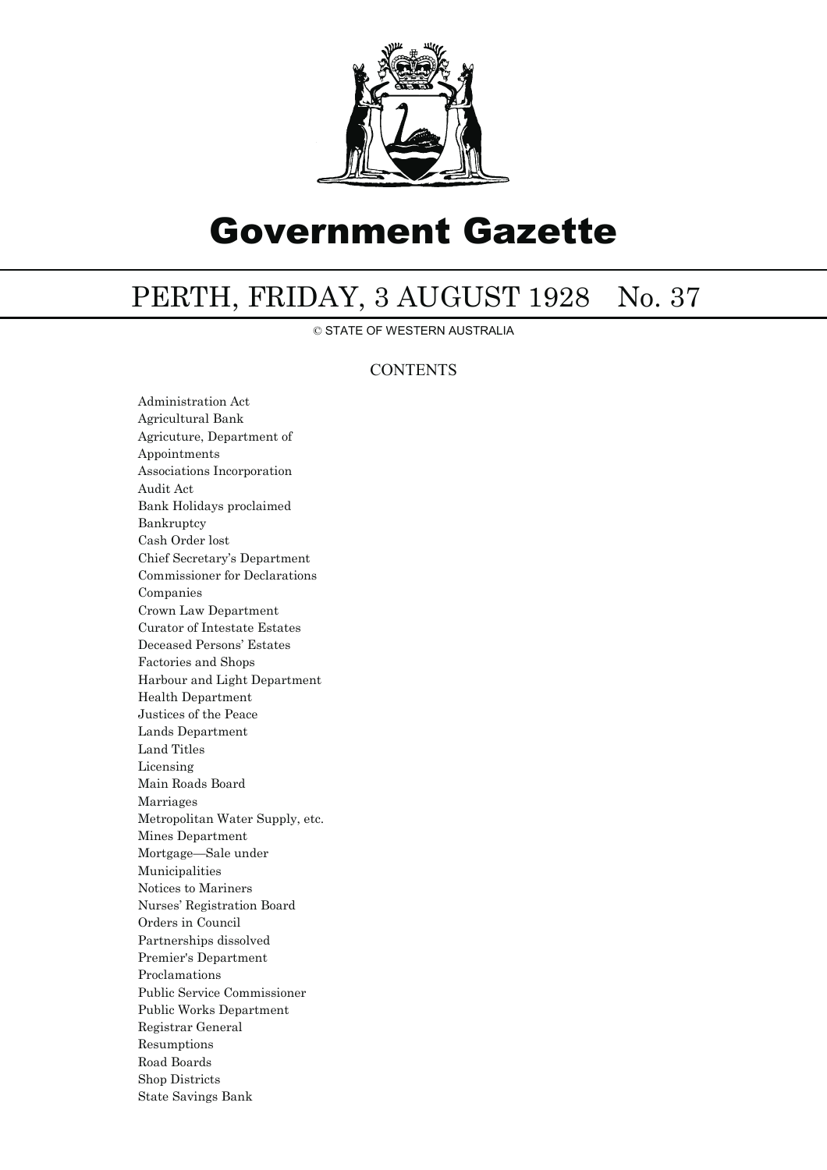

# Government Gazette

## PERTH, FRIDAY, 3 AUGUST 1928 No. 37

© STATE OF WESTERN AUSTRALIA

### **CONTENTS**

Administration Act Agricultural Bank Agricuture, Department of Appointments Associations Incorporation Audit Act Bank Holidays proclaimed Bankruptcy Cash Order lost Chief Secretary's Department Commissioner for Declarations Companies Crown Law Department Curator of Intestate Estates Deceased Persons' Estates Factories and Shops Harbour and Light Department Health Department Justices of the Peace Lands Department Land Titles Licensing Main Roads Board Marriages Metropolitan Water Supply, etc. Mines Department Mortgage—Sale under Municipalities Notices to Mariners Nurses' Registration Board Orders in Council Partnerships dissolved Premier's Department Proclamations Public Service Commissioner Public Works Department Registrar General Resumptions Road Boards Shop Districts State Savings Bank